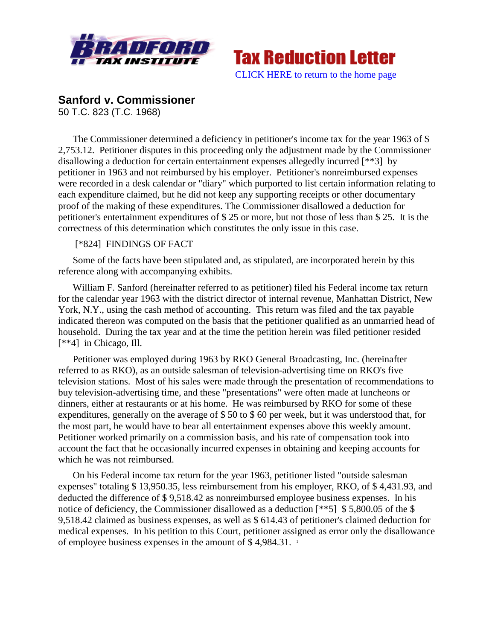



## **Sanford v. Commissioner**

50 T.C. 823 (T.C. 1968)

The Commissioner determined a deficiency in petitioner's income tax for the year 1963 of \$ 2,753.12. Petitioner disputes in this proceeding only the adjustment made by the Commissioner disallowing a deduction for certain entertainment expenses allegedly incurred [\*\*3] by petitioner in 1963 and not reimbursed by his employer. Petitioner's nonreimbursed expenses were recorded in a desk calendar or "diary" which purported to list certain information relating to each expenditure claimed, but he did not keep any supporting receipts or other documentary proof of the making of these expenditures. The Commissioner disallowed a deduction for petitioner's entertainment expenditures of \$ 25 or more, but not those of less than \$ 25. It is the correctness of this determination which constitutes the only issue in this case.

## [\*824] FINDINGS OF FACT

Some of the facts have been stipulated and, as stipulated, are incorporated herein by this reference along with accompanying exhibits.

William F. Sanford (hereinafter referred to as petitioner) filed his Federal income tax return for the calendar year 1963 with the district director of internal revenue, Manhattan District, New York, N.Y., using the cash method of accounting. This return was filed and the tax payable indicated thereon was computed on the basis that the petitioner qualified as an unmarried head of household. During the tax year and at the time the petition herein was filed petitioner resided [\*\*4] in Chicago, Ill.

Petitioner was employed during 1963 by RKO General Broadcasting, Inc. (hereinafter referred to as RKO), as an outside salesman of television-advertising time on RKO's five television stations. Most of his sales were made through the presentation of recommendations to buy television-advertising time, and these "presentations" were often made at luncheons or dinners, either at restaurants or at his home. He was reimbursed by RKO for some of these expenditures, generally on the average of \$ 50 to \$ 60 per week, but it was understood that, for the most part, he would have to bear all entertainment expenses above this weekly amount. Petitioner worked primarily on a commission basis, and his rate of compensation took into account the fact that he occasionally incurred expenses in obtaining and keeping accounts for which he was not reimbursed.

On his Federal income tax return for the year 1963, petitioner listed "outside salesman expenses" totaling \$ 13,950.35, less reimbursement from his employer, RKO, of \$ 4,431.93, and deducted the difference of \$ 9,518.42 as nonreimbursed employee business expenses. In his notice of deficiency, the Commissioner disallowed as a deduction  $[***5]$  \$5,800.05 of the \$ 9,518.42 claimed as business expenses, as well as \$ 614.43 of petitioner's claimed deduction for medical expenses. In his petition to this Court, petitioner assigned as error only the disallowance of employee business expenses in the amount of \$4,984.31.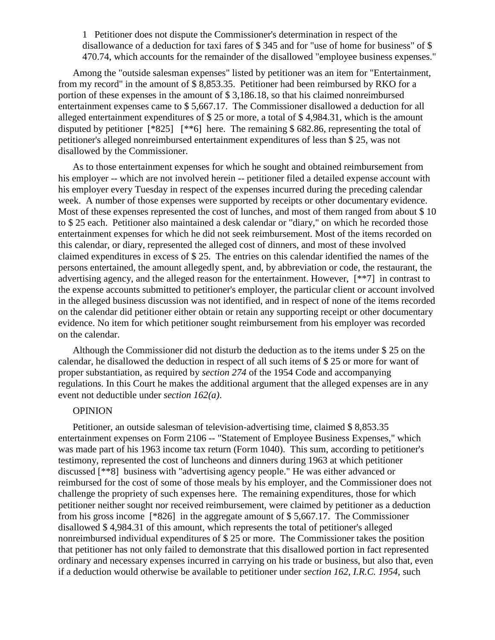1 Petitioner does not dispute the Commissioner's determination in respect of the disallowance of a deduction for taxi fares of \$ 345 and for "use of home for business" of \$ 470.74, which accounts for the remainder of the disallowed "employee business expenses."

Among the "outside salesman expenses" listed by petitioner was an item for "Entertainment, from my record" in the amount of \$ 8,853.35. Petitioner had been reimbursed by RKO for a portion of these expenses in the amount of \$ 3,186.18, so that his claimed nonreimbursed entertainment expenses came to \$ 5,667.17. The Commissioner disallowed a deduction for all alleged entertainment expenditures of \$ 25 or more, a total of \$ 4,984.31, which is the amount disputed by petitioner [\*825] [\*\*6] here. The remaining \$ 682.86, representing the total of petitioner's alleged nonreimbursed entertainment expenditures of less than \$ 25, was not disallowed by the Commissioner.

As to those entertainment expenses for which he sought and obtained reimbursement from his employer -- which are not involved herein -- petitioner filed a detailed expense account with his employer every Tuesday in respect of the expenses incurred during the preceding calendar week. A number of those expenses were supported by receipts or other documentary evidence. Most of these expenses represented the cost of lunches, and most of them ranged from about \$10 to \$ 25 each. Petitioner also maintained a desk calendar or "diary," on which he recorded those entertainment expenses for which he did not seek reimbursement. Most of the items recorded on this calendar, or diary, represented the alleged cost of dinners, and most of these involved claimed expenditures in excess of \$ 25. The entries on this calendar identified the names of the persons entertained, the amount allegedly spent, and, by abbreviation or code, the restaurant, the advertising agency, and the alleged reason for the entertainment. However, [\*\*7] in contrast to the expense accounts submitted to petitioner's employer, the particular client or account involved in the alleged business discussion was not identified, and in respect of none of the items recorded on the calendar did petitioner either obtain or retain any supporting receipt or other documentary evidence. No item for which petitioner sought reimbursement from his employer was recorded on the calendar.

Although the Commissioner did not disturb the deduction as to the items under \$ 25 on the calendar, he disallowed the deduction in respect of all such items of \$ 25 or more for want of proper substantiation, as required by *section 274* of the 1954 Code and accompanying regulations. In this Court he makes the additional argument that the alleged expenses are in any event not deductible under *section 162(a)*.

## **OPINION**

Petitioner, an outside salesman of television-advertising time, claimed \$ 8,853.35 entertainment expenses on Form 2106 -- "Statement of Employee Business Expenses," which was made part of his 1963 income tax return (Form 1040). This sum, according to petitioner's testimony, represented the cost of luncheons and dinners during 1963 at which petitioner discussed [\*\*8] business with "advertising agency people." He was either advanced or reimbursed for the cost of some of those meals by his employer, and the Commissioner does not challenge the propriety of such expenses here. The remaining expenditures, those for which petitioner neither sought nor received reimbursement, were claimed by petitioner as a deduction from his gross income [\*826] in the aggregate amount of \$ 5,667.17. The Commissioner disallowed \$ 4,984.31 of this amount, which represents the total of petitioner's alleged nonreimbursed individual expenditures of \$ 25 or more. The Commissioner takes the position that petitioner has not only failed to demonstrate that this disallowed portion in fact represented ordinary and necessary expenses incurred in carrying on his trade or business, but also that, even if a deduction would otherwise be available to petitioner under *section 162, I.R.C. 1954*, such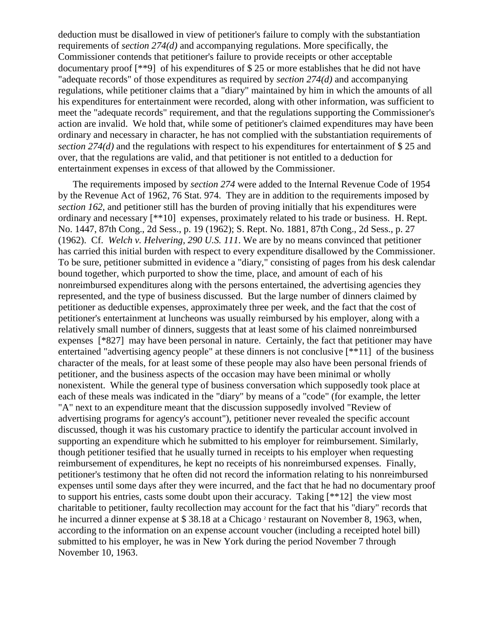deduction must be disallowed in view of petitioner's failure to comply with the substantiation requirements of *section 274(d)* and accompanying regulations. More specifically, the Commissioner contends that petitioner's failure to provide receipts or other acceptable documentary proof [\*\*9] of his expenditures of \$ 25 or more establishes that he did not have "adequate records" of those expenditures as required by *section 274(d)* and accompanying regulations, while petitioner claims that a "diary" maintained by him in which the amounts of all his expenditures for entertainment were recorded, along with other information, was sufficient to meet the "adequate records" requirement, and that the regulations supporting the Commissioner's action are invalid. We hold that, while some of petitioner's claimed expenditures may have been ordinary and necessary in character, he has not complied with the substantiation requirements of *section 274(d)* and the regulations with respect to his expenditures for entertainment of \$ 25 and over, that the regulations are valid, and that petitioner is not entitled to a deduction for entertainment expenses in excess of that allowed by the Commissioner.

The requirements imposed by *section 274* were added to the Internal Revenue Code of 1954 by the Revenue Act of 1962, 76 Stat. 974. They are in addition to the requirements imposed by *section 162*, and petitioner still has the burden of proving initially that his expenditures were ordinary and necessary [\*\*10] expenses, proximately related to his trade or business. H. Rept. No. 1447, 87th Cong., 2d Sess., p. 19 (1962); S. Rept. No. 1881, 87th Cong., 2d Sess., p. 27 (1962). Cf. *Welch v. Helvering, 290 U.S. 111*. We are by no means convinced that petitioner has carried this initial burden with respect to every expenditure disallowed by the Commissioner. To be sure, petitioner submitted in evidence a "diary," consisting of pages from his desk calendar bound together, which purported to show the time, place, and amount of each of his nonreimbursed expenditures along with the persons entertained, the advertising agencies they represented, and the type of business discussed. But the large number of dinners claimed by petitioner as deductible expenses, approximately three per week, and the fact that the cost of petitioner's entertainment at luncheons was usually reimbursed by his employer, along with a relatively small number of dinners, suggests that at least some of his claimed nonreimbursed expenses [\*827] may have been personal in nature. Certainly, the fact that petitioner may have entertained "advertising agency people" at these dinners is not conclusive [\*\*11] of the business character of the meals, for at least some of these people may also have been personal friends of petitioner, and the business aspects of the occasion may have been minimal or wholly nonexistent. While the general type of business conversation which supposedly took place at each of these meals was indicated in the "diary" by means of a "code" (for example, the letter "A" next to an expenditure meant that the discussion supposedly involved "Review of advertising programs for agency's account"), petitioner never revealed the specific account discussed, though it was his customary practice to identify the particular account involved in supporting an expenditure which he submitted to his employer for reimbursement. Similarly, though petitioner tesified that he usually turned in receipts to his employer when requesting reimbursement of expenditures, he kept no receipts of his nonreimbursed expenses. Finally, petitioner's testimony that he often did not record the information relating to his nonreimbursed expenses until some days after they were incurred, and the fact that he had no documentary proof to support his entries, casts some doubt upon their accuracy. Taking [\*\*12] the view most charitable to petitioner, faulty recollection may account for the fact that his "diary" records that he incurred a dinner expense at \$38.18 at a Chicago<sup>2</sup> restaurant on November 8, 1963, when, according to the information on an expense account voucher (including a receipted hotel bill) submitted to his employer, he was in New York during the period November 7 through November 10, 1963.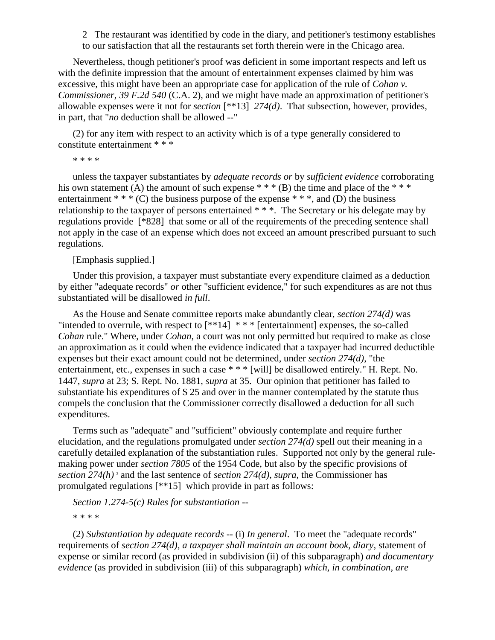2 The restaurant was identified by code in the diary, and petitioner's testimony establishes to our satisfaction that all the restaurants set forth therein were in the Chicago area.

Nevertheless, though petitioner's proof was deficient in some important respects and left us with the definite impression that the amount of entertainment expenses claimed by him was excessive, this might have been an appropriate case for application of the rule of *Cohan v. Commissioner, 39 F.2d 540* (C.A. 2), and we might have made an approximation of petitioner's allowable expenses were it not for *section* [\*\*13] *274(d)*. That subsection, however, provides, in part, that "*no* deduction shall be allowed --"

(2) for any item with respect to an activity which is of a type generally considered to constitute entertainment \* \* \*

\* \* \* \*

unless the taxpayer substantiates by *adequate records or* by *sufficient evidence* corroborating his own statement (A) the amount of such expense  $***$  (B) the time and place of the  $***$ entertainment  $* * * (C)$  the business purpose of the expense  $* * *$ , and (D) the business relationship to the taxpayer of persons entertained \* \* \*. The Secretary or his delegate may by regulations provide [\*828] that some or all of the requirements of the preceding sentence shall not apply in the case of an expense which does not exceed an amount prescribed pursuant to such regulations.

[Emphasis supplied.]

Under this provision, a taxpayer must substantiate every expenditure claimed as a deduction by either "adequate records" *or* other "sufficient evidence," for such expenditures as are not thus substantiated will be disallowed *in full*.

As the House and Senate committee reports make abundantly clear, *section 274(d)* was "intended to overrule, with respect to  $[**14]$  \*\*\* [entertainment] expenses, the so-called *Cohan* rule." Where, under *Cohan*, a court was not only permitted but required to make as close an approximation as it could when the evidence indicated that a taxpayer had incurred deductible expenses but their exact amount could not be determined, under *section 274(d)*, "the entertainment, etc., expenses in such a case \* \* \* [will] be disallowed entirely." H. Rept. No. 1447, *supra* at 23; S. Rept. No. 1881, *supra* at 35. Our opinion that petitioner has failed to substantiate his expenditures of \$ 25 and over in the manner contemplated by the statute thus compels the conclusion that the Commissioner correctly disallowed a deduction for all such expenditures.

Terms such as "adequate" and "sufficient" obviously contemplate and require further elucidation, and the regulations promulgated under *section 274(d)* spell out their meaning in a carefully detailed explanation of the substantiation rules. Supported not only by the general rulemaking power under *section 7805* of the 1954 Code, but also by the specific provisions of *section 274(h)* <sup>3</sup> and the last sentence of *section 274(d)*, *supra*, the Commissioner has promulgated regulations [\*\*15] which provide in part as follows:

*Section 1.274-5(c) Rules for substantiation* -- \* \* \* \*

(2) *Substantiation by adequate records* -- (i) *In general*. To meet the "adequate records" requirements of *section 274(d)*, *a taxpayer shall maintain an account book, diary*, statement of expense or similar record (as provided in subdivision (ii) of this subparagraph) *and documentary evidence* (as provided in subdivision (iii) of this subparagraph) *which, in combination, are*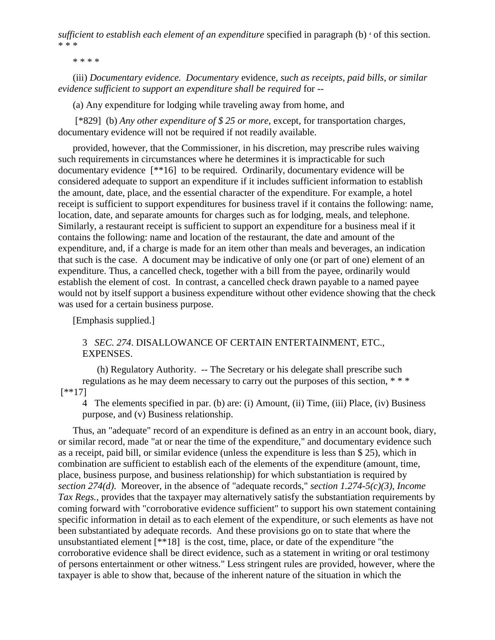*sufficient to establish each element of an expenditure* specified in paragraph (b) <sup>4</sup> of this section. \* \* \*

\* \* \* \*

(iii) *Documentary evidence. Documentary* evidence, *such as receipts, paid bills, or similar evidence sufficient to support an expenditure shall be required* for --

(a) Any expenditure for lodging while traveling away from home, and

[\*829] (b) *Any other expenditure of \$ 25 or more*, except, for transportation charges, documentary evidence will not be required if not readily available.

provided, however, that the Commissioner, in his discretion, may prescribe rules waiving such requirements in circumstances where he determines it is impracticable for such documentary evidence [\*\*16] to be required. Ordinarily, documentary evidence will be considered adequate to support an expenditure if it includes sufficient information to establish the amount, date, place, and the essential character of the expenditure. For example, a hotel receipt is sufficient to support expenditures for business travel if it contains the following: name, location, date, and separate amounts for charges such as for lodging, meals, and telephone. Similarly, a restaurant receipt is sufficient to support an expenditure for a business meal if it contains the following: name and location of the restaurant, the date and amount of the expenditure, and, if a charge is made for an item other than meals and beverages, an indication that such is the case. A document may be indicative of only one (or part of one) element of an expenditure. Thus, a cancelled check, together with a bill from the payee, ordinarily would establish the element of cost. In contrast, a cancelled check drawn payable to a named payee would not by itself support a business expenditure without other evidence showing that the check was used for a certain business purpose.

[Emphasis supplied.]

## 3 *SEC. 274*. DISALLOWANCE OF CERTAIN ENTERTAINMENT, ETC., EXPENSES.

(h) Regulatory Authority. -- The Secretary or his delegate shall prescribe such regulations as he may deem necessary to carry out the purposes of this section, \* \* \* [\*\*17]

4 The elements specified in par. (b) are: (i) Amount, (ii) Time, (iii) Place, (iv) Business purpose, and (v) Business relationship.

Thus, an "adequate" record of an expenditure is defined as an entry in an account book, diary, or similar record, made "at or near the time of the expenditure," and documentary evidence such as a receipt, paid bill, or similar evidence (unless the expenditure is less than \$ 25), which in combination are sufficient to establish each of the elements of the expenditure (amount, time, place, business purpose, and business relationship) for which substantiation is required by *section 274(d)*. Moreover, in the absence of "adequate records," *section 1.274-5(c)(3), Income Tax Regs.*, provides that the taxpayer may alternatively satisfy the substantiation requirements by coming forward with "corroborative evidence sufficient" to support his own statement containing specific information in detail as to each element of the expenditure, or such elements as have not been substantiated by adequate records. And these provisions go on to state that where the unsubstantiated element [\*\*18] is the cost, time, place, or date of the expenditure "the corroborative evidence shall be direct evidence, such as a statement in writing or oral testimony of persons entertainment or other witness." Less stringent rules are provided, however, where the taxpayer is able to show that, because of the inherent nature of the situation in which the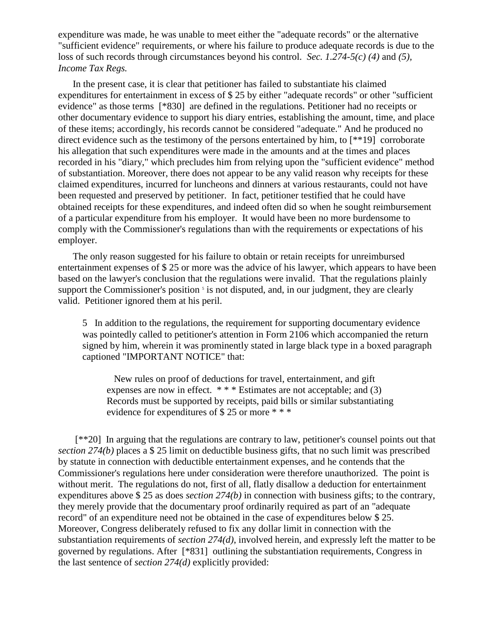expenditure was made, he was unable to meet either the "adequate records" or the alternative "sufficient evidence" requirements, or where his failure to produce adequate records is due to the loss of such records through circumstances beyond his control. *Sec. 1.274-5(c) (4)* and *(5), Income Tax Regs.*

In the present case, it is clear that petitioner has failed to substantiate his claimed expenditures for entertainment in excess of \$ 25 by either "adequate records" or other "sufficient evidence" as those terms [\*830] are defined in the regulations. Petitioner had no receipts or other documentary evidence to support his diary entries, establishing the amount, time, and place of these items; accordingly, his records cannot be considered "adequate." And he produced no direct evidence such as the testimony of the persons entertained by him, to [\*\*19] corroborate his allegation that such expenditures were made in the amounts and at the times and places recorded in his "diary," which precludes him from relying upon the "sufficient evidence" method of substantiation. Moreover, there does not appear to be any valid reason why receipts for these claimed expenditures, incurred for luncheons and dinners at various restaurants, could not have been requested and preserved by petitioner. In fact, petitioner testified that he could have obtained receipts for these expenditures, and indeed often did so when he sought reimbursement of a particular expenditure from his employer. It would have been no more burdensome to comply with the Commissioner's regulations than with the requirements or expectations of his employer.

The only reason suggested for his failure to obtain or retain receipts for unreimbursed entertainment expenses of \$ 25 or more was the advice of his lawyer, which appears to have been based on the lawyer's conclusion that the regulations were invalid. That the regulations plainly support the Commissioner's position  $\frac{1}{3}$  is not disputed, and, in our judgment, they are clearly valid. Petitioner ignored them at his peril.

5 In addition to the regulations, the requirement for supporting documentary evidence was pointedly called to petitioner's attention in Form 2106 which accompanied the return signed by him, wherein it was prominently stated in large black type in a boxed paragraph captioned "IMPORTANT NOTICE" that:

 New rules on proof of deductions for travel, entertainment, and gift expenses are now in effect.  $***$  Estimates are not acceptable; and (3) Records must be supported by receipts, paid bills or similar substantiating evidence for expenditures of \$ 25 or more \* \* \*

[\*\*20] In arguing that the regulations are contrary to law, petitioner's counsel points out that *section 274(b)* places a \$ 25 limit on deductible business gifts, that no such limit was prescribed by statute in connection with deductible entertainment expenses, and he contends that the Commissioner's regulations here under consideration were therefore unauthorized. The point is without merit. The regulations do not, first of all, flatly disallow a deduction for entertainment expenditures above \$ 25 as does *section 274(b)* in connection with business gifts; to the contrary, they merely provide that the documentary proof ordinarily required as part of an "adequate record" of an expenditure need not be obtained in the case of expenditures below \$ 25. Moreover, Congress deliberately refused to fix any dollar limit in connection with the substantiation requirements of *section 274(d)*, involved herein, and expressly left the matter to be governed by regulations. After [\*831] outlining the substantiation requirements, Congress in the last sentence of *section 274(d)* explicitly provided: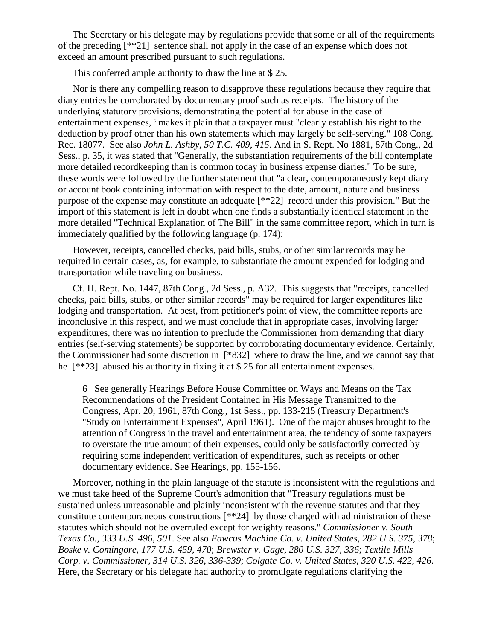The Secretary or his delegate may by regulations provide that some or all of the requirements of the preceding [\*\*21] sentence shall not apply in the case of an expense which does not exceed an amount prescribed pursuant to such regulations.

This conferred ample authority to draw the line at \$ 25.

Nor is there any compelling reason to disapprove these regulations because they require that diary entries be corroborated by documentary proof such as receipts. The history of the underlying statutory provisions, demonstrating the potential for abuse in the case of entertainment expenses,  $\epsilon$  makes it plain that a taxpayer must "clearly establish his right to the deduction by proof other than his own statements which may largely be self-serving." 108 Cong. Rec. 18077. See also *John L. Ashby, 50 T.C. 409, 415*. And in S. Rept. No 1881, 87th Cong., 2d Sess., p. 35, it was stated that "Generally, the substantiation requirements of the bill contemplate more detailed recordkeeping than is common today in business expense diaries." To be sure, these words were followed by the further statement that "a clear, contemporaneously kept diary or account book containing information with respect to the date, amount, nature and business purpose of the expense may constitute an adequate [\*\*22] record under this provision." But the import of this statement is left in doubt when one finds a substantially identical statement in the more detailed "Technical Explanation of The Bill" in the same committee report, which in turn is immediately qualified by the following language (p. 174):

However, receipts, cancelled checks, paid bills, stubs, or other similar records may be required in certain cases, as, for example, to substantiate the amount expended for lodging and transportation while traveling on business.

Cf. H. Rept. No. 1447, 87th Cong., 2d Sess., p. A32. This suggests that "receipts, cancelled checks, paid bills, stubs, or other similar records" may be required for larger expenditures like lodging and transportation. At best, from petitioner's point of view, the committee reports are inconclusive in this respect, and we must conclude that in appropriate cases, involving larger expenditures, there was no intention to preclude the Commissioner from demanding that diary entries (self-serving statements) be supported by corroborating documentary evidence. Certainly, the Commissioner had some discretion in [\*832] where to draw the line, and we cannot say that he [\*\*23] abused his authority in fixing it at \$ 25 for all entertainment expenses.

6 See generally Hearings Before House Committee on Ways and Means on the Tax Recommendations of the President Contained in His Message Transmitted to the Congress, Apr. 20, 1961, 87th Cong., 1st Sess., pp. 133-215 (Treasury Department's "Study on Entertainment Expenses", April 1961). One of the major abuses brought to the attention of Congress in the travel and entertainment area, the tendency of some taxpayers to overstate the true amount of their expenses, could only be satisfactorily corrected by requiring some independent verification of expenditures, such as receipts or other documentary evidence. See Hearings, pp. 155-156.

Moreover, nothing in the plain language of the statute is inconsistent with the regulations and we must take heed of the Supreme Court's admonition that "Treasury regulations must be sustained unless unreasonable and plainly inconsistent with the revenue statutes and that they constitute contemporaneous constructions [\*\*24] by those charged with administration of these statutes which should not be overruled except for weighty reasons." *Commissioner v. South Texas Co., 333 U.S. 496, 501*. See also *Fawcus Machine Co. v. United States, 282 U.S. 375, 378*; *Boske v. Comingore, 177 U.S. 459, 470*; *Brewster v. Gage, 280 U.S. 327, 336*; *Textile Mills Corp. v. Commissioner, 314 U.S. 326, 336-339*; *Colgate Co. v. United States, 320 U.S. 422, 426*. Here, the Secretary or his delegate had authority to promulgate regulations clarifying the